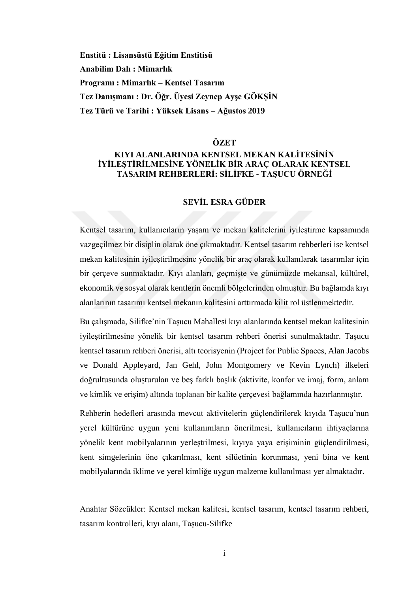**Enstitü : Lisansüstü Eğitim Enstitisü Anabilim Dalı : Mimarlık Programı : Mimarlık – Kentsel Tasarım Tez Danışmanı : Dr. Öğr. Üyesi Zeynep Ayşe GÖKŞİN Tez Türü ve Tarihi : Yüksek Lisans – Ağustos 2019**

### **ÖZET**

### **KIYI ALANLARINDA KENTSEL MEKAN KALİTESİNİN İYİLEŞTİRİLMESİNE YÖNELİK BİR ARAÇ OLARAK KENTSEL TASARIM REHBERLERİ: SİLİFKE - TAŞUCU ÖRNEĞİ**

# **SEVİL ESRA GÜDER**

Kentsel tasarım, kullanıcıların yaşam ve mekan kalitelerini iyileştirme kapsamında vazgeçilmez bir disiplin olarak öne çıkmaktadır. Kentsel tasarım rehberleri ise kentsel mekan kalitesinin iyileştirilmesine yönelik bir araç olarak kullanılarak tasarımlar için bir çerçeve sunmaktadır. Kıyı alanları, geçmişte ve günümüzde mekansal, kültürel, ekonomik ve sosyal olarak kentlerin önemli bölgelerinden olmuştur. Bu bağlamda kıyı alanlarının tasarımı kentsel mekanın kalitesini arttırmada kilit rol üstlenmektedir.

Bu çalışmada, Silifke'nin Taşucu Mahallesi kıyı alanlarında kentsel mekan kalitesinin iyileştirilmesine yönelik bir kentsel tasarım rehberi önerisi sunulmaktadır. Taşucu kentsel tasarım rehberi önerisi, altı teorisyenin (Project for Public Spaces, Alan Jacobs ve Donald Appleyard, Jan Gehl, John Montgomery ve Kevin Lynch) ilkeleri doğrultusunda oluşturulan ve beş farklı başlık (aktivite, konfor ve imaj, form, anlam ve kimlik ve erişim) altında toplanan bir kalite çerçevesi bağlamında hazırlanmıştır.

Rehberin hedefleri arasında mevcut aktivitelerin güçlendirilerek kıyıda Taşucu'nun yerel kültürüne uygun yeni kullanımların önerilmesi, kullanıcıların ihtiyaçlarına yönelik kent mobilyalarının yerleştrilmesi, kıyıya yaya erişiminin güçlendirilmesi, kent simgelerinin öne çıkarılması, kent silüetinin korunması, yeni bina ve kent mobilyalarında iklime ve yerel kimliğe uygun malzeme kullanılması yer almaktadır.

Anahtar Sözcükler: Kentsel mekan kalitesi, kentsel tasarım, kentsel tasarım rehberi, tasarım kontrolleri, kıyı alanı, Taşucu-Silifke